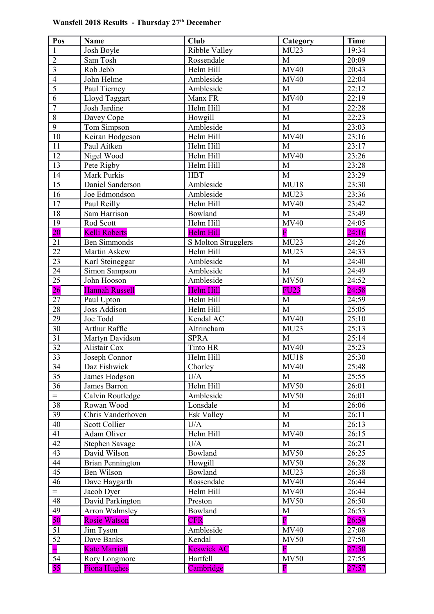## **Wansfell 2018 Results - Thursday 27th December**

| Pos             | <b>Name</b>             | <b>Club</b>         | Category                | <b>Time</b> |
|-----------------|-------------------------|---------------------|-------------------------|-------------|
| $\mathbf{1}$    | Josh Boyle              | Ribble Valley       | MU23                    | 19:34       |
| $\overline{2}$  | Sam Tosh                | Rossendale          | M                       | 20:09       |
| $\overline{3}$  | Rob Jebb                | Helm Hill           | MV40                    | 20:43       |
| $\overline{4}$  | John Helme              | Ambleside           | <b>MV40</b>             | 22:04       |
| $\overline{5}$  | Paul Tierney            | Ambleside           | M                       | 22:12       |
| 6               | Lloyd Taggart           | Manx FR             | <b>MV40</b>             | 22:19       |
| $\overline{7}$  | Josh Jardine            | Helm Hill           | M                       | 22:28       |
| $\,8\,$         | Davey Cope              | Howgill             | $\mathbf M$             | 22:23       |
| $\overline{9}$  | Tom Simpson             | Ambleside           | M                       | 23:03       |
| 10              | Keiran Hodgeson         | Helm Hill           | <b>MV40</b>             | 23:16       |
| 11              | Paul Aitken             | Helm Hill           | M                       | 23:17       |
| 12              | Nigel Wood              | Helm Hill           | <b>MV40</b>             | 23:26       |
| $\overline{13}$ | Pete Rigby              | Helm Hill           | M                       | 23:28       |
| 14              | Mark Purkis             | <b>HBT</b>          | M                       | 23:29       |
| $\overline{15}$ | Daniel Sanderson        | Ambleside           | <b>MU18</b>             | 23:30       |
| 16              | Joe Edmondson           | Ambleside           | MU23                    | 23:36       |
| $\overline{17}$ | Paul Reilly             | Helm Hill           | <b>MV40</b>             | 23:42       |
| 18              | Sam Harrison            | Bowland             | M                       | 23:49       |
| 19              | Rod Scott               | Helm Hill           | <b>MV40</b>             | 24:05       |
| 20              | <b>Kelli Roberts</b>    | Helm Hill           | $\overline{\mathrm{F}}$ | 24:16       |
| 21              | <b>Ben Simmonds</b>     | S Molton Strugglers | MU23                    | 24:26       |
| $\overline{22}$ | Martin Askew            | Helm Hill           | MU23                    | 24:33       |
| 23              | Karl Steineggar         | Ambleside           | $\mathbf M$             | 24:40       |
| 24              | Simon Sampson           | Ambleside           | $\overline{M}$          | 24:49       |
| 25              | John Hooson             | Ambleside           | <b>MV50</b>             | 24:52       |
| 26              | <b>Hannah Russell</b>   | Helm Hill           | <b>FU23</b>             | 24:58       |
| 27              | Paul Upton              | Helm Hill           | M                       | 24:59       |
| $\overline{28}$ | Joss Addison            | Helm Hill           | M                       | 25:05       |
| 29              | Joe Todd                | Kendal AC           | MV40                    | 25:10       |
| $\overline{30}$ | <b>Arthur Raffle</b>    | Altrincham          | MU23                    | 25:13       |
| 31              | Martyn Davidson         | <b>SPRA</b>         | M                       | 25:14       |
| 32              | Alistair Cox            | Tinto HR            | <b>MV40</b>             | 25:23       |
| 33              | Joseph Connor           | Helm Hill           | <b>MU18</b>             | 25:30       |
| 34              | Daz Fishwick            | Chorley             | <b>MV40</b>             | 25:48       |
| $\overline{35}$ | James Hodgson           | U/A                 | M                       | 25:55       |
| 36              | James Barron            | Helm Hill           | <b>MV50</b>             | 26:01       |
| $=$             | Calvin Routledge        | Ambleside           | <b>MV50</b>             | 26:01       |
| 38              | Rowan Wood              | Lonsdale            | M                       | 26:06       |
| 39              | Chris Vanderhoven       | <b>Esk Valley</b>   | M                       | 26:11       |
| 40              | <b>Scott Collier</b>    | U/A                 | M                       | 26:13       |
| 41              | <b>Adam Oliver</b>      | Helm Hill           | <b>MV40</b>             | 26:15       |
| 42              | Stephen Savage          | U/A                 | M                       | 26:21       |
| $\overline{43}$ | David Wilson            | Bowland             | <b>MV50</b>             | 26:25       |
| 44              | <b>Brian Pennington</b> | Howgill             | <b>MV50</b>             | 26:28       |
| 45              | Ben Wilson              | Bowland             | MU23                    | 26:38       |
| 46              | Dave Haygarth           | Rossendale          | <b>MV40</b>             | 26:44       |
| $=$             | Jacob Dyer              | Helm Hill           | <b>MV40</b>             | 26:44       |
| 48              | David Parkington        | Preston             | <b>MV50</b>             | 26:50       |
| 49              | Arron Walmsley          | Bowland             | M                       | 26:53       |
| 50              | <b>Rosie Watson</b>     | <b>CFR</b>          | $\overline{\mathrm{F}}$ | 26:59       |
| 51              | Jim Tyson               | Ambleside           | <b>MV40</b>             | 27:08       |
| 52              | Dave Banks              | Kendal              | <b>MV50</b>             | 27:50       |
| $\equiv$        | <b>Kate Marriott</b>    | <b>Keswick AC</b>   | $\overline{\mathrm{F}}$ | 27:50       |
| 54              | Rory Longmore           | Hartfell            | <b>MV50</b>             | 27:55       |
| 55              | <b>Fiona Hughes</b>     | Cambridge           | $\overline{\mathrm{F}}$ | 27:57       |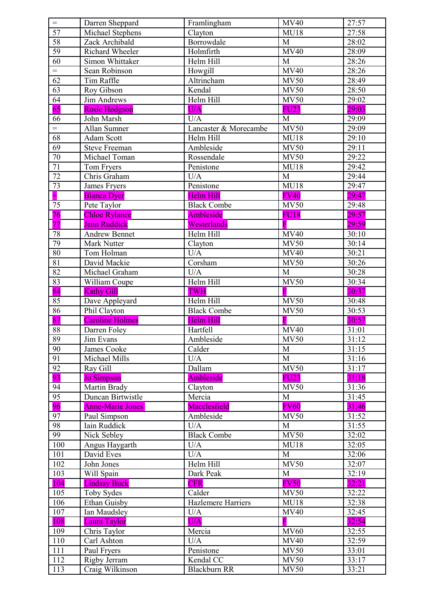| $=$             | Darren Sheppard         | Framlingham           | <b>MV40</b>             | 27:57 |
|-----------------|-------------------------|-----------------------|-------------------------|-------|
| 57              | Michael Stephens        | Clayton               | <b>MU18</b>             | 27:58 |
| 58              | Zack Archibald          | Borrowdale            | M                       | 28:02 |
| 59              | Richard Wheeler         | Holmfirth             | <b>MV40</b>             | 28:09 |
| 60              | Simon Whittaker         | Helm Hill             | M                       | 28:26 |
| $=$             | Sean Robinson           | Howgill               | <b>MV40</b>             | 28:26 |
| 62              | Tim Raffle              | Altrincham            | <b>MV50</b>             | 28:49 |
| 63              | Roy Gibson              | Kendal                | <b>MV50</b>             | 28:50 |
| 64              | <b>Jim Andrews</b>      | Helm Hill             | <b>MV50</b>             | 29:02 |
| $\overline{65}$ | <b>Rosie Hodgson</b>    | U/A                   | <b>FU23</b>             | 29:03 |
| 66              | John Marsh              | U/A                   | M                       | 29:09 |
| $=$             | <b>Allan Sumner</b>     | Lancaster & Morecambe | <b>MV50</b>             | 29:09 |
| 68              | Adam Scott              | Helm Hill             | <b>MU18</b>             | 29:10 |
| 69              | <b>Steve Freeman</b>    | Ambleside             | <b>MV50</b>             | 29:11 |
| 70              | Michael Toman           | Rossendale            | <b>MV50</b>             | 29:22 |
| 71              | Tom Fryers              | Penistone             | <b>MU18</b>             | 29:42 |
| 72              | Chris Graham            | U/A                   | M                       | 29:44 |
| 73              | James Fryers            | Penistone             | <b>MU18</b>             | 29:47 |
|                 | <b>Bianca Dyer</b>      | <b>Helm Hill</b>      | <b>FV40</b>             | 29:47 |
| 75              | Pete Taylor             | <b>Black Combe</b>    | <b>MV50</b>             | 29:48 |
| 76              | <b>Chloe Rylance</b>    | Ambleside             | <b>FU18</b>             | 29:57 |
| 77              | <b>Jenn Ruddick</b>     | Westerlands           | $\overline{\mathrm{F}}$ | 29:59 |
| 78              | <b>Andrew Bennet</b>    | Helm Hill             | <b>MV40</b>             | 30:10 |
| 79              | Mark Nutter             | Clayton               | <b>MV50</b>             | 30:14 |
| 80              | Tom Holman              | U/A                   | <b>MV40</b>             | 30:21 |
| 81              | David Mackie            | Corsham               | <b>MV50</b>             | 30:26 |
| 82              | Michael Graham          | U/A                   | M                       | 30:28 |
| 83              | William Coupe           | Helm Hill             | <b>MV50</b>             | 30:34 |
| 84              | <b>Kathy Gill</b>       | <b>TWH</b>            | $\overline{\mathrm{F}}$ | 30:37 |
| 85              | Dave Appleyard          | Helm Hill             | <b>MV50</b>             | 30:48 |
| 86              | Phil Clayton            | <b>Black Combe</b>    | <b>MV50</b>             | 30:53 |
| 87              | <b>Caroline Holmes</b>  | Helm Hill             | $\overline{\mathbf{F}}$ | 30:57 |
| 88              | Darren Foley            | Hartfell              | <b>MV40</b>             | 31:01 |
| 89              | Jim Evans               | Ambleside             | <b>MV50</b>             | 31:12 |
| 90              | James Cooke             | Calder                | M                       | 31:15 |
| 91              | Michael Mills           | U/A                   | M                       | 31:16 |
| 92              | Ray Gill                | Dallam                | <b>MV50</b>             | 31:17 |
| 93              | Jo Simpson              | Ambleside             | <b>FU23</b>             | 31:18 |
| 94              | Martin Brady            | Clayton               | <b>MV50</b>             | 31:36 |
| 95              | Duncan Birtwistle       | Mercia                | M                       | 31:45 |
| 96              | <b>Anne-Marie Jones</b> | Macclesfield          | <b>FV60</b>             | 31:46 |
| 97              | Paul Simpson            | Ambleside             | <b>MV50</b>             | 31:52 |
| 98              | <b>Iain Ruddick</b>     | U/A                   | M                       | 31:55 |
| 99              | Nick Sebley             | <b>Black Combe</b>    | <b>MV50</b>             | 32:02 |
| 100             | Angus Haygarth          | U/A                   | <b>MU18</b>             | 32:05 |
| 101             | David Eves              | U/A                   | M                       | 32:06 |
| 102             | John Jones              | Helm Hill             | <b>MV50</b>             | 32:07 |
| 103             | Will Spain              | Dark Peak             | $\mathbf{M}$            | 32:19 |
| 104             | <b>Lindsay Buck</b>     | <b>CFR</b>            | <b>FV50</b>             | 32:21 |
| 105             | Toby Sydes              | Calder                | <b>MV50</b>             | 32:22 |
| 106             | Ethan Guisby            | Hazlemere Harriers    | <b>MU18</b>             | 32:38 |
| 107             | Ian Maudsley            | U/A                   | <b>MV40</b>             | 32:45 |
| 108             | <b>Laura Taylor</b>     | U/A                   | $\overline{\mathbf{F}}$ | 32:54 |
| 109             | Chris Taylor            | Mercia                | <b>MV60</b>             | 32:55 |
| 110             | Carl Ashton             | U/A                   | <b>MV40</b>             | 32:59 |
| 111             | Paul Fryers             | Penistone             | <b>MV50</b>             | 33:01 |
| 112             | Rigby Jerram            | Kendal CC             | <b>MV50</b>             | 33:17 |
| 113             | Craig Wilkinson         | <b>Blackburn RR</b>   | <b>MV50</b>             | 33:21 |
|                 |                         |                       |                         |       |